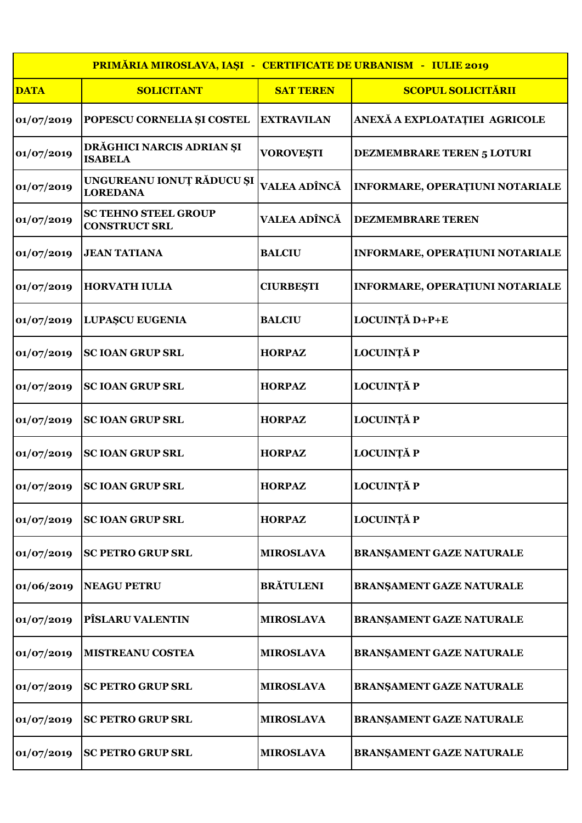|             | <b>PRIMĂRIA MIROSLAVA, IAȘI - CERTIFICATE DE URBANISM - IULIE 2019</b> |                   |                                        |  |  |
|-------------|------------------------------------------------------------------------|-------------------|----------------------------------------|--|--|
| <b>DATA</b> | <b>SOLICITANT</b>                                                      | <b>SAT TEREN</b>  | <b>SCOPUL SOLICITĂRII</b>              |  |  |
| 01/07/2019  | POPESCU CORNELIA ȘI COSTEL                                             | <b>EXTRAVILAN</b> | ANEXĂ A EXPLOATAȚIEI AGRICOLE          |  |  |
| 01/07/2019  | DRĂGHICI NARCIS ADRIAN ȘI<br><b>ISABELA</b>                            | <b>VOROVEȘTI</b>  | <b>DEZMEMBRARE TEREN 5 LOTURI</b>      |  |  |
| 01/07/2019  | UNGUREANU IONUȚ RĂDUCU ȘI<br><b>LOREDANA</b>                           | VALEA ADÎNCĂ      | <b>INFORMARE, OPERAȚIUNI NOTARIALE</b> |  |  |
| 01/07/2019  | <b>SC TEHNO STEEL GROUP</b><br><b>CONSTRUCT SRL</b>                    | VALEA ADÎNCĂ      | <b>DEZMEMBRARE TEREN</b>               |  |  |
| 01/07/2019  | <b>JEAN TATIANA</b>                                                    | <b>BALCIU</b>     | <b>INFORMARE, OPERATIUNI NOTARIALE</b> |  |  |
| 01/07/2019  | <b>HORVATH IULIA</b>                                                   | <b>CIURBEȘTI</b>  | <b>INFORMARE, OPERAȚIUNI NOTARIALE</b> |  |  |
| 01/07/2019  | <b>LUPAȘCU EUGENIA</b>                                                 | <b>BALCIU</b>     | LOCUINȚĂ D+P+E                         |  |  |
| 01/07/2019  | <b>SC IOAN GRUP SRL</b>                                                | <b>HORPAZ</b>     | <b>LOCUINȚĂ P</b>                      |  |  |
| 01/07/2019  | <b>SC IOAN GRUP SRL</b>                                                | <b>HORPAZ</b>     | <b>LOCUINȚĂ P</b>                      |  |  |
| 01/07/2019  | <b>SC IOAN GRUP SRL</b>                                                | <b>HORPAZ</b>     | <b>LOCUINȚĂ P</b>                      |  |  |
| 01/07/2019  | <b>SC IOAN GRUP SRL</b>                                                | <b>HORPAZ</b>     | <b>LOCUINȚĂ P</b>                      |  |  |
| 01/07/2019  | <b>SC IOAN GRUP SRL</b>                                                | <b>HORPAZ</b>     | <b>LOCUINȚĂ P</b>                      |  |  |
| 01/07/2019  | <b>SC IOAN GRUP SRL</b>                                                | <b>HORPAZ</b>     | <b>LOCUINȚĂ P</b>                      |  |  |
| 01/07/2019  | <b>SC PETRO GRUP SRL</b>                                               | <b>MIROSLAVA</b>  | <b>BRANŞAMENT GAZE NATURALE</b>        |  |  |
| 01/06/2019  | <b>NEAGU PETRU</b>                                                     | <b>BRĂTULENI</b>  | <b>BRANŞAMENT GAZE NATURALE</b>        |  |  |
| 01/07/2019  | <b>PÎSLARU VALENTIN</b>                                                | <b>MIROSLAVA</b>  | <b>BRANŞAMENT GAZE NATURALE</b>        |  |  |
| 01/07/2019  | <b>MISTREANU COSTEA</b>                                                | <b>MIROSLAVA</b>  | <b>BRANŞAMENT GAZE NATURALE</b>        |  |  |
| 01/07/2019  | <b>SC PETRO GRUP SRL</b>                                               | <b>MIROSLAVA</b>  | <b>BRANŞAMENT GAZE NATURALE</b>        |  |  |
| 01/07/2019  | <b>SC PETRO GRUP SRL</b>                                               | <b>MIROSLAVA</b>  | <b>BRANŞAMENT GAZE NATURALE</b>        |  |  |
| 01/07/2019  | <b>SC PETRO GRUP SRL</b>                                               | <b>MIROSLAVA</b>  | <b>BRANŞAMENT GAZE NATURALE</b>        |  |  |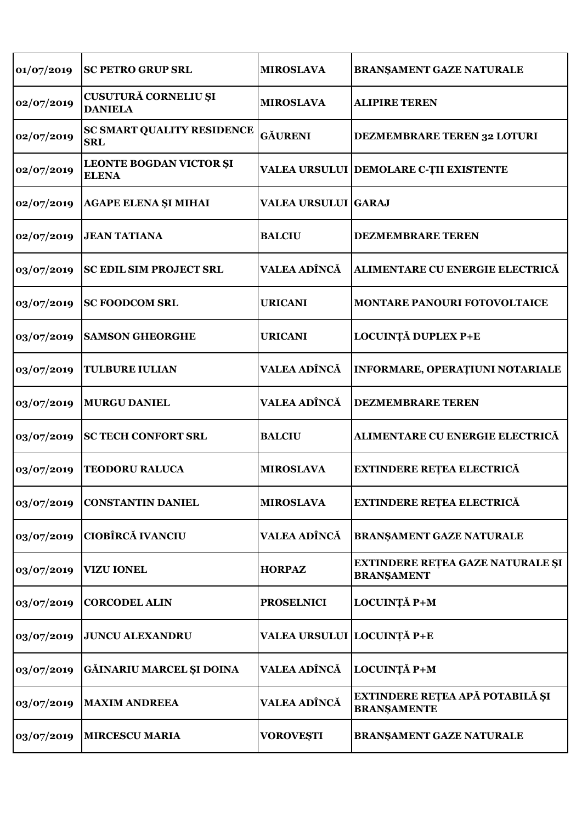| 01/07/2019 | <b>SC PETRO GRUP SRL</b>                        | <b>MIROSLAVA</b>           | <b>BRANŞAMENT GAZE NATURALE</b>                              |
|------------|-------------------------------------------------|----------------------------|--------------------------------------------------------------|
| 02/07/2019 | CUSUTURĂ CORNELIU ȘI<br><b>DANIELA</b>          | <b>MIROSLAVA</b>           | <b>ALIPIRE TEREN</b>                                         |
| 02/07/2019 | <b>SC SMART QUALITY RESIDENCE</b><br><b>SRL</b> | <b>GÄURENI</b>             | <b>DEZMEMBRARE TEREN 32 LOTURI</b>                           |
| 02/07/2019 | <b>LEONTE BOGDAN VICTOR ȘI</b><br><b>ELENA</b>  |                            | VALEA URSULUI DEMOLARE C-ȚII EXISTENTE                       |
| 02/07/2019 | <b>AGAPE ELENA ȘI MIHAI</b>                     | <b>VALEA URSULUI GARAJ</b> |                                                              |
| 02/07/2019 | <b>JEAN TATIANA</b>                             | <b>BALCIU</b>              | <b>DEZMEMBRARE TEREN</b>                                     |
| 03/07/2019 | <b>SC EDIL SIM PROJECT SRL</b>                  | <b>VALEA ADÎNCĂ</b>        | ALIMENTARE CU ENERGIE ELECTRICĂ                              |
| 03/07/2019 | <b>SC FOODCOM SRL</b>                           | <b>URICANI</b>             | <b>MONTARE PANOURI FOTOVOLTAICE</b>                          |
| 03/07/2019 | <b>SAMSON GHEORGHE</b>                          | <b>URICANI</b>             | LOCUINȚĂ DUPLEX P+E                                          |
| 03/07/2019 | <b>TULBURE IULIAN</b>                           | VALEA ADÎNCĂ               | <b>INFORMARE, OPERAȚIUNI NOTARIALE</b>                       |
| 03/07/2019 | <b>MURGU DANIEL</b>                             | VALEA ADÎNCĂ               | <b>DEZMEMBRARE TEREN</b>                                     |
| 03/07/2019 | <b>SC TECH CONFORT SRL</b>                      | <b>BALCIU</b>              | ALIMENTARE CU ENERGIE ELECTRICĂ                              |
| 03/07/2019 | <b>TEODORU RALUCA</b>                           | <b>MIROSLAVA</b>           | <b>EXTINDERE REȚEA ELECTRICĂ</b>                             |
| 03/07/2019 | <b>CONSTANTIN DANIEL</b>                        | <b>MIROSLAVA</b>           | <b>EXTINDERE RETEA ELECTRICĂ</b>                             |
| 03/07/2019 | <b>CIOBÎRCĂ IVANCIU</b>                         | VALEA ADÎNCĂ               | <b>BRANŞAMENT GAZE NATURALE</b>                              |
| 03/07/2019 | <b>VIZU IONEL</b>                               | <b>HORPAZ</b>              | <b>EXTINDERE REȚEA GAZE NATURALE ȘI</b><br><b>BRANŞAMENT</b> |
| 03/07/2019 | <b>CORCODEL ALIN</b>                            | <b>PROSELNICI</b>          | <b>LOCUINȚĂ P+M</b>                                          |
| 03/07/2019 | <b>JUNCU ALEXANDRU</b>                          | VALEA URSULUI LOCUINȚĂ P+E |                                                              |
| 03/07/2019 | GĂINARIU MARCEL ȘI DOINA                        | VALEA ADÎNCĂ               | LOCUINȚĂ P+M                                                 |
| 03/07/2019 | <b>MAXIM ANDREEA</b>                            | VALEA ADÎNCĂ               | EXTINDERE REȚEA APĂ POTABILĂ ȘI<br><b>BRANSAMENTE</b>        |
| 03/07/2019 | <b>MIRCESCU MARIA</b>                           | <b>VOROVEȘTI</b>           | <b>BRANŞAMENT GAZE NATURALE</b>                              |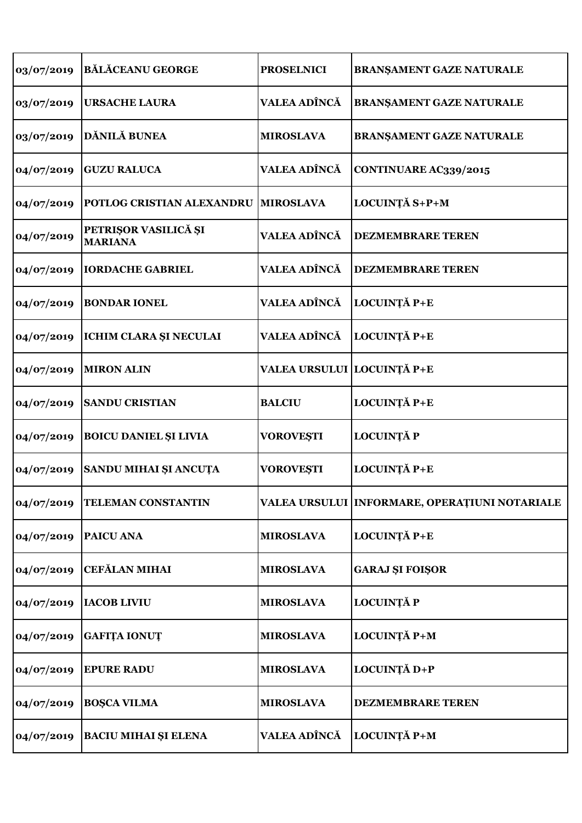| 03/07/2019 | <b>BĂLĂCEANU GEORGE</b>                | <b>PROSELNICI</b>          | BRANŞAMENT GAZE NATURALE                      |
|------------|----------------------------------------|----------------------------|-----------------------------------------------|
| 03/07/2019 | <b>URSACHE LAURA</b>                   | VALEA ADÎNCĂ               | <b>BRANŞAMENT GAZE NATURALE</b>               |
| 03/07/2019 | DĂNILĂ BUNEA                           | <b>MIROSLAVA</b>           | <b>BRANŞAMENT GAZE NATURALE</b>               |
| 04/07/2019 | <b>GUZU RALUCA</b>                     | VALEA ADÎNCĂ               | CONTINUARE AC339/2015                         |
| 04/07/2019 | POTLOG CRISTIAN ALEXANDRU              | <b>MIROSLAVA</b>           | LOCUINȚĂ S+P+M                                |
| 04/07/2019 | PETRIŞOR VASILICĂ ȘI<br><b>MARIANA</b> | VALEA ADÎNCĂ               | <b>DEZMEMBRARE TEREN</b>                      |
| 04/07/2019 | <b>IORDACHE GABRIEL</b>                | VALEA ADÎNCĂ               | <b>DEZMEMBRARE TEREN</b>                      |
| 04/07/2019 | <b>BONDAR IONEL</b>                    | VALEA ADÎNCĂ               | LOCUINȚĂ P+E                                  |
| 04/07/2019 | <b>ICHIM CLARA ȘI NECULAI</b>          | VALEA ADÎNCĂ               | LOCUINȚĂ P+E                                  |
| 04/07/2019 | <b>MIRON ALIN</b>                      | VALEA URSULUI LOCUINȚĂ P+E |                                               |
| 04/07/2019 | <b>SANDU CRISTIAN</b>                  | <b>BALCIU</b>              | LOCUINȚĂ P+E                                  |
| 04/07/2019 | <b>BOICU DANIEL ȘI LIVIA</b>           | <b>VOROVEȘTI</b>           | <b>LOCUINȚĂ P</b>                             |
| 04/07/2019 | SANDU MIHAI ȘI ANCUȚA                  | <b>VOROVEȘTI</b>           | LOCUINȚĂ P+E                                  |
| 04/07/2019 | <b>TELEMAN CONSTANTIN</b>              |                            | VALEA URSULUI INFORMARE, OPERAȚIUNI NOTARIALE |
| 04/07/2019 | <b>PAICU ANA</b>                       | <b>MIROSLAVA</b>           | LOCUINȚĂ P+E                                  |
| 04/07/2019 | <b>CEFĂLAN MIHAI</b>                   | <b>MIROSLAVA</b>           | <b>GARAJ ȘI FOIȘOR</b>                        |
| 04/07/2019 | <b>IACOB LIVIU</b>                     | <b>MIROSLAVA</b>           | <b>LOCUINȚĂ P</b>                             |
| 04/07/2019 | <b>GAFITA IONUT</b>                    | <b>MIROSLAVA</b>           | LOCUINȚĂ P+M                                  |
| 04/07/2019 | <b>EPURE RADU</b>                      | <b>MIROSLAVA</b>           | LOCUINȚĂ D+P                                  |
| 04/07/2019 | <b>BOŞCA VILMA</b>                     | <b>MIROSLAVA</b>           | <b>DEZMEMBRARE TEREN</b>                      |
| 04/07/2019 | <b>BACIU MIHAI ȘI ELENA</b>            | VALEA ADÎNCĂ               | LOCUINȚĂ P+M                                  |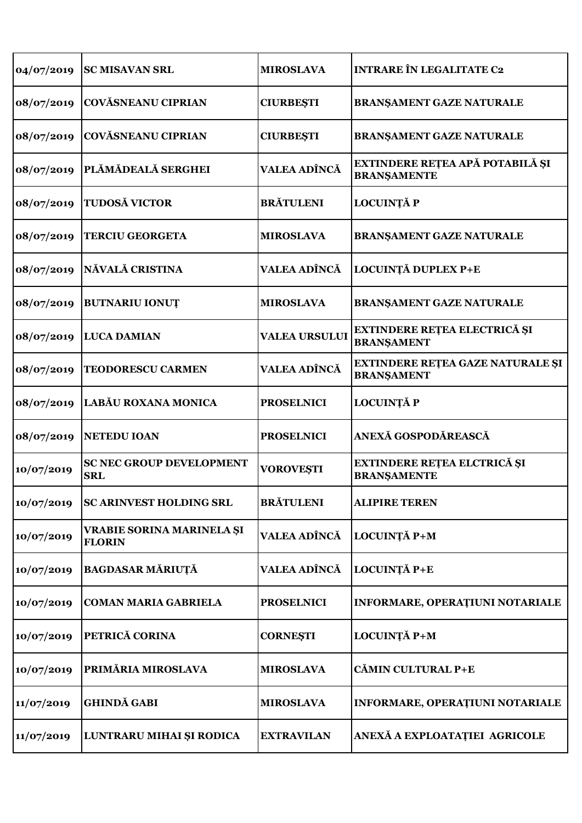| 04/07/2019 | <b>SC MISAVAN SRL</b>                             | <b>MIROSLAVA</b>     | <b>INTRARE ÎN LEGALITATE C2</b>                          |
|------------|---------------------------------------------------|----------------------|----------------------------------------------------------|
| 08/07/2019 | <b>COVĂSNEANU CIPRIAN</b>                         | <b>CIURBEȘTI</b>     | <b>BRANŞAMENT GAZE NATURALE</b>                          |
| 08/07/2019 | <b>COVĂSNEANU CIPRIAN</b>                         | <b>CIURBEȘTI</b>     | <b>BRANŞAMENT GAZE NATURALE</b>                          |
| 08/07/2019 | PLĂMĂDEALĂ SERGHEI                                | VALEA ADÎNCĂ         | EXTINDERE REȚEA APĂ POTABILĂ ȘI<br><b>BRANSAMENTE</b>    |
| 08/07/2019 | <b>TUDOSĂ VICTOR</b>                              | <b>BRĂTULENI</b>     | <b>LOCUINȚĂ P</b>                                        |
| 08/07/2019 | <b>TERCIU GEORGETA</b>                            | <b>MIROSLAVA</b>     | <b>BRANŞAMENT GAZE NATURALE</b>                          |
| 08/07/2019 | NĂVALĂ CRISTINA                                   | VALEA ADÎNCĂ         | LOCUINȚĂ DUPLEX P+E                                      |
| 08/07/2019 | <b>BUTNARIU IONUT</b>                             | <b>MIROSLAVA</b>     | <b>BRANŞAMENT GAZE NATURALE</b>                          |
| 08/07/2019 | <b>LUCA DAMIAN</b>                                | <b>VALEA URSULUI</b> | <b>EXTINDERE REȚEA ELECTRICĂ ȘI</b><br><b>BRANSAMENT</b> |
| 08/07/2019 | <b>TEODORESCU CARMEN</b>                          | VALEA ADÎNCĂ         | EXTINDERE REȚEA GAZE NATURALE ȘI<br><b>BRANŞAMENT</b>    |
| 08/07/2019 | LABĂU ROXANA MONICA                               | <b>PROSELNICI</b>    | <b>LOCUINȚĂ P</b>                                        |
| 08/07/2019 | <b>NETEDU IOAN</b>                                | <b>PROSELNICI</b>    | ANEXĂ GOSPODĂREASCĂ                                      |
| 10/07/2019 | <b>SC NEC GROUP DEVELOPMENT</b><br><b>SRL</b>     | <b>VOROVEȘTI</b>     | <b>EXTINDERE REȚEA ELCTRICĂ ȘI</b><br><b>BRANŞAMENTE</b> |
| 10/07/2019 | <b>SC ARINVEST HOLDING SRL</b>                    | <b>BRĂTULENI</b>     | <b>ALIPIRE TEREN</b>                                     |
| 10/07/2019 | <b>VRABIE SORINA MARINELA ȘI</b><br><b>FLORIN</b> | VALEA ADÎNCĂ         | LOCUINȚĂ P+M                                             |
| 10/07/2019 | <b>BAGDASAR MĂRIUȚĂ</b>                           | <b>VALEA ADÎNCĂ</b>  | LOCUINȚĂ P+E                                             |
| 10/07/2019 | <b>COMAN MARIA GABRIELA</b>                       | <b>PROSELNICI</b>    | INFORMARE, OPERAȚIUNI NOTARIALE                          |
| 10/07/2019 | PETRICĂ CORINA                                    | <b>CORNEŞTI</b>      | LOCUINȚĂ P+M                                             |
| 10/07/2019 | PRIMĂRIA MIROSLAVA                                | <b>MIROSLAVA</b>     | <b>CĂMIN CULTURAL P+E</b>                                |
| 11/07/2019 | <b>GHINDĂ GABI</b>                                | <b>MIROSLAVA</b>     | INFORMARE, OPERAȚIUNI NOTARIALE                          |
| 11/07/2019 | LUNTRARU MIHAI ȘI RODICA                          | <b>EXTRAVILAN</b>    | ANEXĂ A EXPLOATAȚIEI AGRICOLE                            |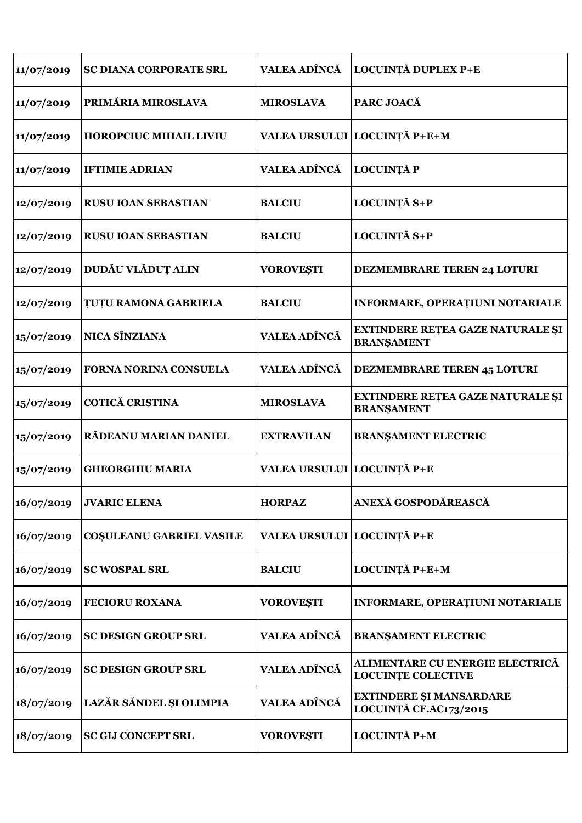| 11/07/2019 | SC DIANA CORPORATE SRL          | VALEA ADÎNCĂ               | LOCUINȚĂ DUPLEX P+E                                          |
|------------|---------------------------------|----------------------------|--------------------------------------------------------------|
| 11/07/2019 | PRIMĂRIA MIROSLAVA              | <b>MIROSLAVA</b>           | PARC JOACĂ                                                   |
| 11/07/2019 | <b>HOROPCIUC MIHAIL LIVIU</b>   |                            | VALEA URSULUI LOCUINȚĂ P+E+M                                 |
| 11/07/2019 | <b>IFTIMIE ADRIAN</b>           | VALEA ADÎNCĂ               | <b>LOCUINȚĂ P</b>                                            |
| 12/07/2019 | <b>RUSU IOAN SEBASTIAN</b>      | <b>BALCIU</b>              | LOCUINȚĂ S+P                                                 |
| 12/07/2019 | <b>RUSU IOAN SEBASTIAN</b>      | <b>BALCIU</b>              | LOCUINȚĂ S+P                                                 |
| 12/07/2019 | DUDĂU VLĂDUȚ ALIN               | <b>VOROVEȘTI</b>           | <b>DEZMEMBRARE TEREN 24 LOTURI</b>                           |
| 12/07/2019 | <b>TUTU RAMONA GABRIELA</b>     | <b>BALCIU</b>              | <b>INFORMARE, OPERAȚIUNI NOTARIALE</b>                       |
| 15/07/2019 | <b>NICA SÎNZIANA</b>            | VALEA ADÎNCĂ               | EXTINDERE REȚEA GAZE NATURALE ȘI<br><b>BRANŞAMENT</b>        |
| 15/07/2019 | <b>FORNA NORINA CONSUELA</b>    | VALEA ADÎNCĂ               | <b>DEZMEMBRARE TEREN 45 LOTURI</b>                           |
| 15/07/2019 | <b>COTICĂ CRISTINA</b>          | <b>MIROSLAVA</b>           | EXTINDERE REȚEA GAZE NATURALE ȘI<br><b>BRANŞAMENT</b>        |
| 15/07/2019 | RĂDEANU MARIAN DANIEL           | <b>EXTRAVILAN</b>          | <b>BRANSAMENT ELECTRIC</b>                                   |
| 15/07/2019 | <b>GHEORGHIU MARIA</b>          | VALEA URSULUI LOCUINȚĂ P+E |                                                              |
| 16/07/2019 | <b>JVARIC ELENA</b>             | <b>HORPAZ</b>              | ANEXĂ GOSPODĂREASCĂ                                          |
| 16/07/2019 | <b>COSULEANU GABRIEL VASILE</b> | VALEA URSULUI LOCUINȚĂ P+E |                                                              |
| 16/07/2019 | <b>SC WOSPAL SRL</b>            | <b>BALCIU</b>              | LOCUINȚĂ P+E+M                                               |
| 16/07/2019 | <b>FECIORU ROXANA</b>           | <b>VOROVEȘTI</b>           | <b>INFORMARE, OPERAȚIUNI NOTARIALE</b>                       |
| 16/07/2019 | <b>SC DESIGN GROUP SRL</b>      | VALEA ADÎNCĂ               | <b>BRANŞAMENT ELECTRIC</b>                                   |
| 16/07/2019 | <b>SC DESIGN GROUP SRL</b>      | VALEA ADÎNCĂ               | ALIMENTARE CU ENERGIE ELECTRICĂ<br><b>LOCUINTE COLECTIVE</b> |
| 18/07/2019 | LAZĂR SĂNDEL ȘI OLIMPIA         | VALEA ADÎNCĂ               | <b>EXTINDERE ȘI MANSARDARE</b><br>LOCUINȚĂ CF.AC173/2015     |
| 18/07/2019 | <b>SC GIJ CONCEPT SRL</b>       | <b>VOROVEȘTI</b>           | LOCUINȚĂ P+M                                                 |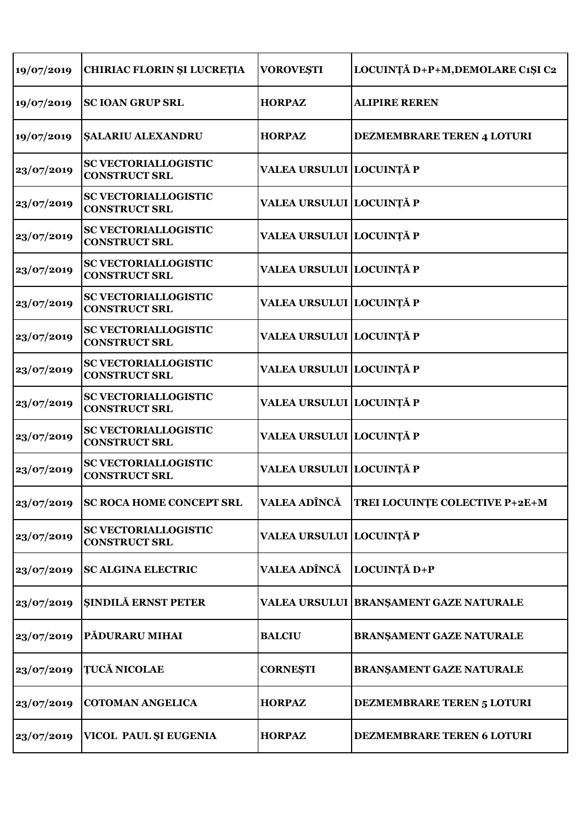| 19/07/2019 | <b>CHIRIAC FLORIN ȘI LUCREȚIA</b>                   | <b>VOROVEȘTI</b>          | LOCUINȚĂ D+P+M, DEMOLARE C1ȘI C2        |
|------------|-----------------------------------------------------|---------------------------|-----------------------------------------|
| 19/07/2019 | <b>SC IOAN GRUP SRL</b>                             | <b>HORPAZ</b>             | <b>ALIPIRE REREN</b>                    |
| 19/07/2019 | ŞALARIU ALEXANDRU                                   | <b>HORPAZ</b>             | <b>DEZMEMBRARE TEREN 4 LOTURI</b>       |
| 23/07/2019 | <b>SC VECTORIALLOGISTIC</b><br><b>CONSTRUCT SRL</b> | VALEA URSULUI LOCUINȚĂ P  |                                         |
| 23/07/2019 | <b>SC VECTORIALLOGISTIC</b><br><b>CONSTRUCT SRL</b> | VALEA URSULUI  LOCUINȚĂ P |                                         |
| 23/07/2019 | <b>SC VECTORIALLOGISTIC</b><br><b>CONSTRUCT SRL</b> | VALEA URSULUI  LOCUINȚĂ P |                                         |
| 23/07/2019 | <b>SC VECTORIALLOGISTIC</b><br><b>CONSTRUCT SRL</b> | VALEA URSULUI  LOCUINȚĂ P |                                         |
| 23/07/2019 | <b>SC VECTORIALLOGISTIC</b><br><b>CONSTRUCT SRL</b> | VALEA URSULUI LOCUINȚĂ P  |                                         |
| 23/07/2019 | <b>SC VECTORIALLOGISTIC</b><br><b>CONSTRUCT SRL</b> | VALEA URSULUI LOCUINȚĂ P  |                                         |
| 23/07/2019 | <b>SC VECTORIALLOGISTIC</b><br><b>CONSTRUCT SRL</b> | VALEA URSULUI LOCUINȚĂ P  |                                         |
| 23/07/2019 | <b>SC VECTORIALLOGISTIC</b><br><b>CONSTRUCT SRL</b> | VALEA URSULUI LOCUINȚĂ P  |                                         |
| 23/07/2019 | <b>SC VECTORIALLOGISTIC</b><br><b>CONSTRUCT SRL</b> | VALEA URSULUI  LOCUINȚĂ P |                                         |
| 23/07/2019 | <b>SC VECTORIALLOGISTIC</b><br><b>CONSTRUCT SRL</b> | VALEA URSULUI  LOCUINȚĂ P |                                         |
| 23/07/2019 | <b>SC ROCA HOME CONCEPT SRL</b>                     | VALEA ADÎNCĂ              | TREI LOCUINȚE COLECTIVE P+2E+M          |
| 23/07/2019 | <b>SC VECTORIALLOGISTIC</b><br><b>CONSTRUCT SRL</b> | VALEA URSULUI LOCUINȚĂ P  |                                         |
| 23/07/2019 | <b>SC ALGINA ELECTRIC</b>                           | VALEA ADÎNCĂ              | LOCUINȚĂ D+P                            |
| 23/07/2019 | <b>ŞINDILĂ ERNST PETER</b>                          |                           | VALEA URSULUI  BRANȘAMENT GAZE NATURALE |
| 23/07/2019 | PĂDURARU MIHAI                                      | <b>BALCIU</b>             | <b>BRANŞAMENT GAZE NATURALE</b>         |
| 23/07/2019 | <b>ȚUCĂ NICOLAE</b>                                 | <b>CORNEŞTI</b>           | <b>BRANŞAMENT GAZE NATURALE</b>         |
| 23/07/2019 | <b>COTOMAN ANGELICA</b>                             | <b>HORPAZ</b>             | <b>DEZMEMBRARE TEREN 5 LOTURI</b>       |
| 23/07/2019 | VICOL PAUL ȘI EUGENIA                               | <b>HORPAZ</b>             | <b>DEZMEMBRARE TEREN 6 LOTURI</b>       |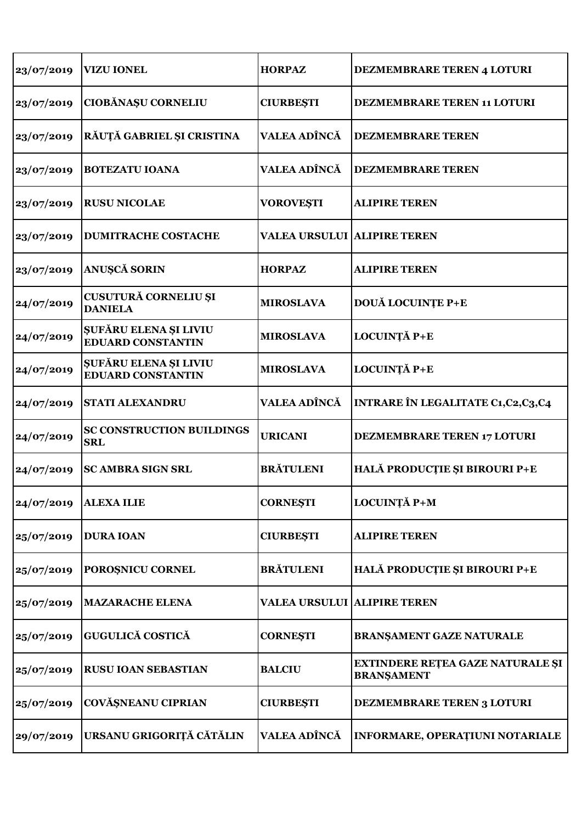| 23/07/2019 | <b>VIZU IONEL</b>                                 | <b>HORPAZ</b>                      | <b>DEZMEMBRARE TEREN 4 LOTURI</b>                     |
|------------|---------------------------------------------------|------------------------------------|-------------------------------------------------------|
| 23/07/2019 | CIOBĂNAȘU CORNELIU                                | <b>CIURBEȘTI</b>                   | <b>DEZMEMBRARE TEREN 11 LOTURI</b>                    |
| 23/07/2019 | RĂUȚĂ GABRIEL ȘI CRISTINA                         | VALEA ADÎNCĂ                       | <b>DEZMEMBRARE TEREN</b>                              |
| 23/07/2019 | <b>BOTEZATU IOANA</b>                             | <b>VALEA ADÎNCĂ</b>                | <b>DEZMEMBRARE TEREN</b>                              |
| 23/07/2019 | <b>RUSU NICOLAE</b>                               | <b>VOROVEȘTI</b>                   | <b>ALIPIRE TEREN</b>                                  |
| 23/07/2019 | <b>DUMITRACHE COSTACHE</b>                        | <b>VALEA URSULUI ALIPIRE TEREN</b> |                                                       |
| 23/07/2019 | ANUȘCĂ SORIN                                      | <b>HORPAZ</b>                      | <b>ALIPIRE TEREN</b>                                  |
| 24/07/2019 | CUSUTURĂ CORNELIU ȘI<br><b>DANIELA</b>            | <b>MIROSLAVA</b>                   | <b>DOUĂ LOCUINȚE P+E</b>                              |
| 24/07/2019 | ŞUFĂRU ELENA ȘI LIVIU<br><b>EDUARD CONSTANTIN</b> | <b>MIROSLAVA</b>                   | LOCUINȚĂ P+E                                          |
| 24/07/2019 | ŞUFĂRU ELENA ȘI LIVIU<br><b>EDUARD CONSTANTIN</b> | <b>MIROSLAVA</b>                   | LOCUINȚĂ P+E                                          |
| 24/07/2019 | <b>STATI ALEXANDRU</b>                            | <b>VALEA ADÎNCĂ</b>                | <b>INTRARE ÎN LEGALITATE C1, C2, C3, C4</b>           |
| 24/07/2019 | <b>SC CONSTRUCTION BUILDINGS</b><br><b>SRL</b>    | <b>URICANI</b>                     | <b>DEZMEMBRARE TEREN 17 LOTURI</b>                    |
| 24/07/2019 | <b>SC AMBRA SIGN SRL</b>                          | <b>BRĂTULENI</b>                   | HALĂ PRODUCȚIE ȘI BIROURI P+E                         |
| 24/07/2019 | <b>ALEXA ILIE</b>                                 | <b>CORNESTI</b>                    | LOCUINȚĂ P+M                                          |
| 25/07/2019 | <b>DURA IOAN</b>                                  | <b>CIURBEȘTI</b>                   | <b>ALIPIRE TEREN</b>                                  |
| 25/07/2019 | POROȘNICU CORNEL                                  | <b>BRĂTULENI</b>                   | HALĂ PRODUCȚIE ȘI BIROURI P+E                         |
| 25/07/2019 | <b>MAZARACHE ELENA</b>                            | VALEA URSULUI  ALIPIRE TEREN       |                                                       |
| 25/07/2019 | <b>GUGULICĂ COSTICĂ</b>                           | <b>CORNEŞTI</b>                    | <b>BRANŞAMENT GAZE NATURALE</b>                       |
| 25/07/2019 | <b>RUSU IOAN SEBASTIAN</b>                        | <b>BALCIU</b>                      | EXTINDERE REȚEA GAZE NATURALE ȘI<br><b>BRANŞAMENT</b> |
| 25/07/2019 | <b>COVĂȘNEANU CIPRIAN</b>                         | <b>CIURBEȘTI</b>                   | DEZMEMBRARE TEREN 3 LOTURI                            |
|            |                                                   |                                    |                                                       |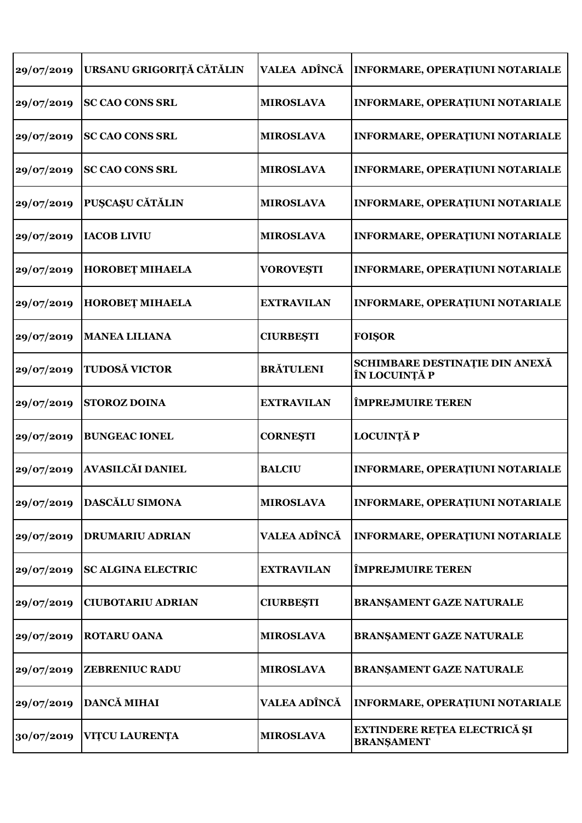| 29/07/2019 | URSANU GRIGORIȚĂ CĂTĂLIN  | VALEA ADÎNCĂ        | <b>INFORMARE, OPERAȚIUNI NOTARIALE</b>            |
|------------|---------------------------|---------------------|---------------------------------------------------|
| 29/07/2019 | <b>SC CAO CONS SRL</b>    | <b>MIROSLAVA</b>    | <b>INFORMARE, OPERATIUNI NOTARIALE</b>            |
| 29/07/2019 | <b>SC CAO CONS SRL</b>    | <b>MIROSLAVA</b>    | <b>INFORMARE, OPERAȚIUNI NOTARIALE</b>            |
| 29/07/2019 | <b>SC CAO CONS SRL</b>    | <b>MIROSLAVA</b>    | <b>INFORMARE, OPERATIUNI NOTARIALE</b>            |
| 29/07/2019 | <b>PUȘCAȘU CĂTĂLIN</b>    | <b>MIROSLAVA</b>    | <b>INFORMARE, OPERAȚIUNI NOTARIALE</b>            |
| 29/07/2019 | <b>IACOB LIVIU</b>        | <b>MIROSLAVA</b>    | <b>INFORMARE, OPERAȚIUNI NOTARIALE</b>            |
| 29/07/2019 | <b>HOROBET MIHAELA</b>    | <b>VOROVEȘTI</b>    | <b>INFORMARE, OPERATIUNI NOTARIALE</b>            |
| 29/07/2019 | <b>HOROBET MIHAELA</b>    | <b>EXTRAVILAN</b>   | <b>INFORMARE, OPERATIUNI NOTARIALE</b>            |
| 29/07/2019 | <b>MANEA LILIANA</b>      | <b>CIURBEȘTI</b>    | <b>FOISOR</b>                                     |
| 29/07/2019 | TUDOSĂ VICTOR             | <b>BRĂTULENI</b>    | SCHIMBARE DESTINAȚIE DIN ANEXĂ<br>ÎN LOCUINȚĂ P   |
| 29/07/2019 | <b>STOROZ DOINA</b>       | <b>EXTRAVILAN</b>   | <b>ÎMPREJMUIRE TEREN</b>                          |
| 29/07/2019 | <b>BUNGEAC IONEL</b>      | <b>CORNESTI</b>     | <b>LOCUINȚĂ P</b>                                 |
| 29/07/2019 | <b>AVASILCĂI DANIEL</b>   | <b>BALCIU</b>       | <b>INFORMARE, OPERAȚIUNI NOTARIALE</b>            |
| 29/07/2019 | <b>DASCĂLU SIMONA</b>     | <b>MIROSLAVA</b>    | INFORMARE, OPERAȚIUNI NOTARIALE                   |
| 29/07/2019 | <b>DRUMARIU ADRIAN</b>    | <b>VALEA ADÎNCĂ</b> | <b>INFORMARE, OPERATIUNI NOTARIALE</b>            |
| 29/07/2019 | <b>SC ALGINA ELECTRIC</b> | <b>EXTRAVILAN</b>   | <b>ÎMPREJMUIRE TEREN</b>                          |
| 29/07/2019 | <b>CIUBOTARIU ADRIAN</b>  | <b>CIURBEȘTI</b>    | BRANŞAMENT GAZE NATURALE                          |
| 29/07/2019 | <b>ROTARU OANA</b>        | <b>MIROSLAVA</b>    | <b>BRANŞAMENT GAZE NATURALE</b>                   |
| 29/07/2019 | <b>ZEBRENIUC RADU</b>     | <b>MIROSLAVA</b>    | <b>BRANŞAMENT GAZE NATURALE</b>                   |
| 29/07/2019 | <b>DANCĂ MIHAI</b>        | <b>VALEA ADÎNCĂ</b> | INFORMARE, OPERAȚIUNI NOTARIALE                   |
| 30/07/2019 | <b>VITCU LAURENTA</b>     | <b>MIROSLAVA</b>    | EXTINDERE REȚEA ELECTRICĂ ȘI<br><b>BRANŞAMENT</b> |